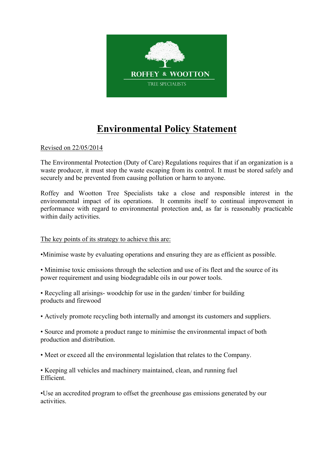

## **Environmental Policy Statement**

Revised on 22/05/2014

The Environmental Protection (Duty of Care) Regulations requires that if an organization is a waste producer, it must stop the waste escaping from its control. It must be stored safely and securely and be prevented from causing pollution or harm to anyone.

Roffey and Wootton Tree Specialists take a close and responsible interest in the environmental impact of its operations. It commits itself to continual improvement in performance with regard to environmental protection and, as far is reasonably practicable within daily activities.

## The key points of its strategy to achieve this are:

•Minimise waste by evaluating operations and ensuring they are as efficient as possible.

• Minimise toxic emissions through the selection and use of its fleet and the source of its power requirement and using biodegradable oils in our power tools.

• Recycling all arisings- woodchip for use in the garden/ timber for building products and firewood

• Actively promote recycling both internally and amongst its customers and suppliers.

• Source and promote a product range to minimise the environmental impact of both production and distribution.

• Meet or exceed all the environmental legislation that relates to the Company.

• Keeping all vehicles and machinery maintained, clean, and running fuel Efficient.

•Use an accredited program to offset the greenhouse gas emissions generated by our activities.